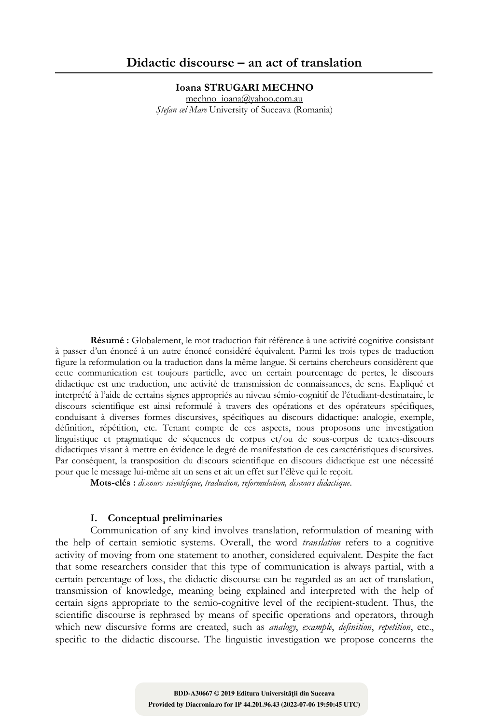**Ioana STRUGARI MECHNO**

mechno\_ioana@yahoo.com.au *Ştefan cel Mare* University of Suceava (Romania)

**Résumé :** Globalement, le mot traduction fait référence à une activité cognitive consistant à passer d'un énoncé à un autre énoncé considéré équivalent. Parmi les trois types de traduction figure la reformulation ou la traduction dans la même langue. Si certains chercheurs considèrent que cette communication est toujours partielle, avec un certain pourcentage de pertes, le discours didactique est une traduction, une activité de transmission de connaissances, de sens. Expliqué et interprété à l'aide de certains signes appropriés au niveau sémio-cognitif de l'étudiant-destinataire, le discours scientifique est ainsi reformulé à travers des opérations et des opérateurs spécifiques, conduisant à diverses formes discursives, spécifiques au discours didactique: analogie, exemple, définition, répétition, etc. Tenant compte de ces aspects, nous proposons une investigation linguistique et pragmatique de séquences de corpus et/ou de sous-corpus de textes-discours didactiques visant à mettre en évidence le degré de manifestation de ces caractéristiques discursives. Par conséquent, la transposition du discours scientifique en discours didactique est une nécessité pour que le message lui-même ait un sens et ait un effet sur l'élève qui le reçoit.

**Mots-clés :** *discours scientifique, traduction, reformulation, discours didactique*.

# **I. Conceptual preliminaries**

Communication of any kind involves translation, reformulation of meaning with the help of certain semiotic systems. Overall, the word *translation* refers to a cognitive activity of moving from one statement to another, considered equivalent. Despite the fact that some researchers consider that this type of communication is always partial, with a certain percentage of loss, the didactic discourse can be regarded as an act of translation, transmission of knowledge, meaning being explained and interpreted with the help of certain signs appropriate to the semio-cognitive level of the recipient-student. Thus, the scientific discourse is rephrased by means of specific operations and operators, through which new discursive forms are created, such as *analogy*, *example*, *definition*, *repetition*, etc., specific to the didactic discourse. The linguistic investigation we propose concerns the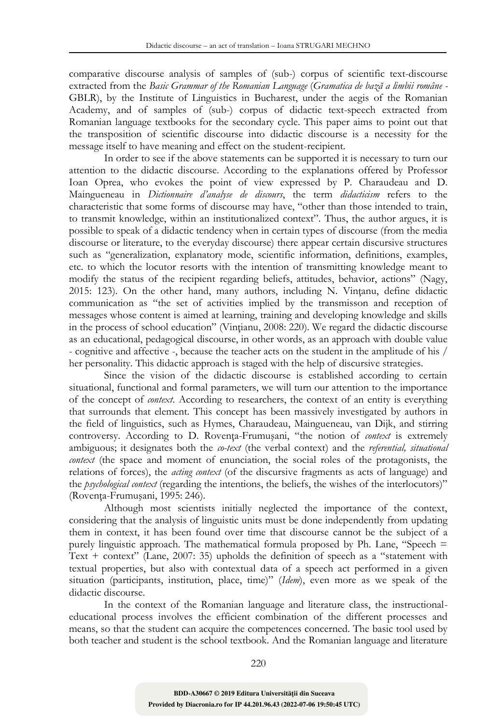comparative discourse analysis of samples of (sub-) corpus of scientific text-discourse extracted from the *Basic Grammar of the Romanian Language* (*Gramatica de bază a limbii române -* GBLR), by the Institute of Linguistics in Bucharest, under the aegis of the Romanian Academy, and of samples of (sub-) corpus of didactic text-speech extracted from Romanian language textbooks for the secondary cycle. This paper aims to point out that the transposition of scientific discourse into didactic discourse is a necessity for the message itself to have meaning and effect on the student-recipient.

In order to see if the above statements can be supported it is necessary to turn our attention to the didactic discourse. According to the explanations offered by Professor Ioan Oprea, who evokes the point of view expressed by P. Charaudeau and D. Maingueneau in *Dictionnaire d'analyse de discours*, the term *didacticism* refers to the characteristic that some forms of discourse may have, "other than those intended to train, to transmit knowledge, within an institutionalized context". Thus, the author argues, it is possible to speak of a didactic tendency when in certain types of discourse (from the media discourse or literature, to the everyday discourse) there appear certain discursive structures such as "generalization, explanatory mode, scientific information, definitions, examples, etc. to which the locutor resorts with the intention of transmitting knowledge meant to modify the status of the recipient regarding beliefs, attitudes, behavior, actions" (Nagy,  $2015: 123$ ). On the other hand, many authors, including N. Vintanu, define didactic communication as "the set of activities implied by the transmisson and reception of messages whose content is aimed at learning, training and developing knowledge and skills in the process of school education" (Vinţianu, 2008: 220). We regard the didactic discourse as an educational, pedagogical discourse, in other words, as an approach with double value - cognitive and affective -, because the teacher acts on the student in the amplitude of his / her personality. This didactic approach is staged with the help of discursive strategies.

Since the vision of the didactic discourse is established according to certain situational, functional and formal parameters, we will turn our attention to the importance of the concept of *context*. According to researchers, the context of an entity is everything that surrounds that element. This concept has been massively investigated by authors in the field of linguistics, such as Hymes, Charaudeau, Maingueneau, van Dijk, and stirring controversy. According to D. Roventa-Frumusani, "the notion of *context* is extremely ambiguous; it designates both the *co-text* (the verbal context) and the *referential, situational context* (the space and moment of enunciation, the social roles of the protagonists, the relations of forces), the *acting context* (of the discursive fragments as acts of language) and the *psychological context* (regarding the intentions, the beliefs, the wishes of the interlocutors)" (Rovenţa-Frumuşani, 1995: 246).

Although most scientists initially neglected the importance of the context, considering that the analysis of linguistic units must be done independently from updating them in context, it has been found over time that discourse cannot be the subject of a purely linguistic approach. The mathematical formula proposed by Ph. Lane, "Speech = Text  $+$  context" (Lane, 2007: 35) upholds the definition of speech as a "statement with textual properties, but also with contextual data of a speech act performed in a given situation (participants, institution, place, time)" (*Idem*), even more as we speak of the didactic discourse.

In the context of the Romanian language and literature class, the instructionaleducational process involves the efficient combination of the different processes and means, so that the student can acquire the competences concerned. The basic tool used by both teacher and student is the school textbook. And the Romanian language and literature

220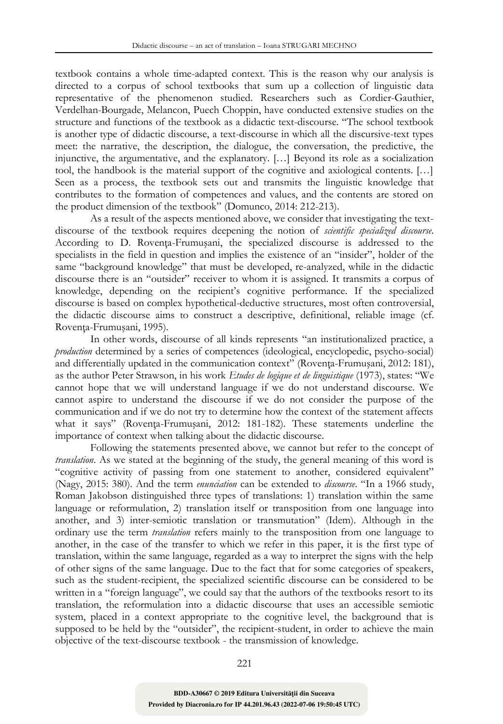textbook contains a whole time-adapted context. This is the reason why our analysis is directed to a corpus of school textbooks that sum up a collection of linguistic data representative of the phenomenon studied. Researchers such as Cordier-Gauthier, Verdelhan-Bourgade, Melancon, Puech Choppin, have conducted extensive studies on the structure and functions of the textbook as a didactic text-discourse. "The school textbook is another type of didactic discourse, a text-discourse in which all the discursive-text types meet: the narrative, the description, the dialogue, the conversation, the predictive, the injunctive, the argumentative, and the explanatory. […] Beyond its role as a socialization tool, the handbook is the material support of the cognitive and axiological contents. […] Seen as a process, the textbook sets out and transmits the linguistic knowledge that contributes to the formation of competences and values, and the contents are stored on the product dimension of the textbook" (Domunco, 2014: 212-213).

As a result of the aspects mentioned above, we consider that investigating the textdiscourse of the textbook requires deepening the notion of *scientific specialized discourse*. According to D. Roventa-Frumusani, the specialized discourse is addressed to the specialists in the field in question and implies the existence of an "insider", holder of the same "background knowledge" that must be developed, re-analyzed, while in the didactic discourse there is an "outsider" receiver to whom it is assigned. It transmits a corpus of knowledge, depending on the recipient's cognitive performance. If the specialized discourse is based on complex hypothetical-deductive structures, most often controversial, the didactic discourse aims to construct a descriptive, definitional, reliable image (cf. Rovenţa-Frumuşani, 1995).

In other words, discourse of all kinds represents "an institutionalized practice, a *production* determined by a series of competences (ideological, encyclopedic, psycho-social) and differentially updated in the communication context" (Roventa-Frumusani, 2012: 181), as the author Peter Strawson, in his work *Etudes de logique et de linguistique* (1973), states: "We cannot hope that we will understand language if we do not understand discourse. We cannot aspire to understand the discourse if we do not consider the purpose of the communication and if we do not try to determine how the context of the statement affects what it says" (Rovenţa-Frumuşani, 2012: 181-182). These statements underline the importance of context when talking about the didactic discourse.

Following the statements presented above, we cannot but refer to the concept of *translation*. As we stated at the beginning of the study, the general meaning of this word is "cognitive activity of passing from one statement to another, considered equivalent" (Nagy, 2015: 380). And the term *enunciation* can be extended to *discourse*. "In a 1966 study, Roman Jakobson distinguished three types of translations: 1) translation within the same language or reformulation, 2) translation itself or transposition from one language into another, and 3) inter-semiotic translation or transmutation" (Idem). Although in the ordinary use the term *translation* refers mainly to the transposition from one language to another, in the case of the transfer to which we refer in this paper, it is the first type of translation, within the same language, regarded as a way to interpret the signs with the help of other signs of the same language. Due to the fact that for some categories of speakers, such as the student-recipient, the specialized scientific discourse can be considered to be written in a "foreign language", we could say that the authors of the textbooks resort to its translation, the reformulation into a didactic discourse that uses an accessible semiotic system, placed in a context appropriate to the cognitive level, the background that is supposed to be held by the "outsider", the recipient-student, in order to achieve the main objective of the text-discourse textbook - the transmission of knowledge.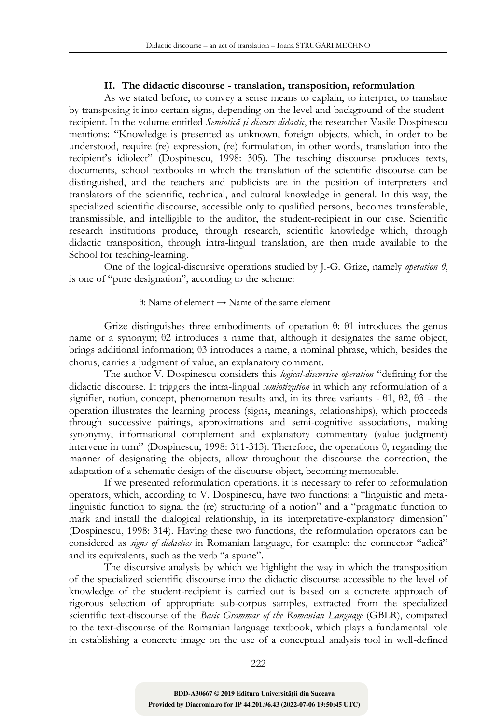# **II. The didactic discourse - translation, transposition, reformulation**

As we stated before, to convey a sense means to explain, to interpret, to translate by transposing it into certain signs, depending on the level and background of the studentrecipient. In the volume entitled *Semiotică şi discurs didactic*, the researcher Vasile Dospinescu mentions: "Knowledge is presented as unknown, foreign objects, which, in order to be understood, require (re) expression, (re) formulation, in other words, translation into the recipient's idiolect" (Dospinescu, 1998: 305). The teaching discourse produces texts, documents, school textbooks in which the translation of the scientific discourse can be distinguished, and the teachers and publicists are in the position of interpreters and translators of the scientific, technical, and cultural knowledge in general. In this way, the specialized scientific discourse, accessible only to qualified persons, becomes transferable, transmissible, and intelligible to the auditor, the student-recipient in our case. Scientific research institutions produce, through research, scientific knowledge which, through didactic transposition, through intra-lingual translation, are then made available to the School for teaching-learning.

One of the logical-discursive operations studied by J.-G. Grize, namely *operation θ*, is one of "pure designation", according to the scheme:

# θ: Name of element → Name of the same element

Grize distinguishes three embodiments of operation θ: θ1 introduces the genus name or a synonym; θ2 introduces a name that, although it designates the same object, brings additional information; θ3 introduces a name, a nominal phrase, which, besides the chorus, carries a judgment of value, an explanatory comment.

The author V. Dospinescu considers this *logical-discursive operation* "defining for the didactic discourse. It triggers the intra-lingual *semiotization* in which any reformulation of a signifier, notion, concept, phenomenon results and, in its three variants - θ1, θ2, θ3 - the operation illustrates the learning process (signs, meanings, relationships), which proceeds through successive pairings, approximations and semi-cognitive associations, making synonymy, informational complement and explanatory commentary (value judgment) intervene in turn" (Dospinescu, 1998: 311-313). Therefore, the operations θ, regarding the manner of designating the objects, allow throughout the discourse the correction, the adaptation of a schematic design of the discourse object, becoming memorable.

If we presented reformulation operations, it is necessary to refer to reformulation operators, which, according to V. Dospinescu, have two functions: a "linguistic and metalinguistic function to signal the (re) structuring of a notion" and a "pragmatic function to mark and install the dialogical relationship, in its interpretative-explanatory dimension" (Dospinescu, 1998: 314). Having these two functions, the reformulation operators can be considered as *signs of didactics* in Romanian language, for example: the connector "adică" and its equivalents, such as the verb "a spune".

The discursive analysis by which we highlight the way in which the transposition of the specialized scientific discourse into the didactic discourse accessible to the level of knowledge of the student-recipient is carried out is based on a concrete approach of rigorous selection of appropriate sub-corpus samples, extracted from the specialized scientific text-discourse of the *Basic Grammar of the Romanian Language* (GBLR), compared to the text-discourse of the Romanian language textbook, which plays a fundamental role in establishing a concrete image on the use of a conceptual analysis tool in well-defined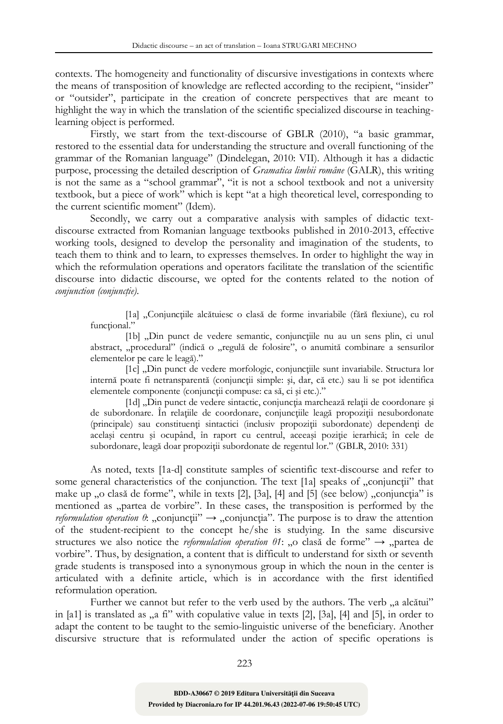contexts. The homogeneity and functionality of discursive investigations in contexts where the means of transposition of knowledge are reflected according to the recipient, "insider" or "outsider", participate in the creation of concrete perspectives that are meant to highlight the way in which the translation of the scientific specialized discourse in teachinglearning object is performed.

Firstly, we start from the text-discourse of GBLR (2010), "a basic grammar, restored to the essential data for understanding the structure and overall functioning of the grammar of the Romanian language" (Dindelegan, 2010: VII). Although it has a didactic purpose, processing the detailed description of *Gramatica limbii române* (GALR), this writing is not the same as a "school grammar", "it is not a school textbook and not a university textbook, but a piece of work" which is kept "at a high theoretical level, corresponding to the current scientific moment" (Idem).

Secondly, we carry out a comparative analysis with samples of didactic textdiscourse extracted from Romanian language textbooks published in 2010-2013, effective working tools, designed to develop the personality and imagination of the students, to teach them to think and to learn, to expresses themselves. In order to highlight the way in which the reformulation operations and operators facilitate the translation of the scientific discourse into didactic discourse, we opted for the contents related to the notion of  $$ 

[1a] "Conjuncțiile alcătuiesc o clasă de forme invariabile (fără flexiune), cu rol functional."

[1b] "Din punct de vedere semantic, conjuncțiile nu au un sens plin, ci unul abstract, "procedural" (indică o "regulă de folosire", o anumită combinare a sensurilor elementelor pe care le leagă)."

[1c] "Din punct de vedere morfologic, conjuncțiile sunt invariabile. Structura lor internă poate fi netransparentă (conjuncţii simple: şi, dar, că etc.) sau li se pot identifica elementele componente (conjunctii compuse: ca să, ci și etc.)."

[1d] "Din punct de vedere sintactic, conjuncția marchează relații de coordonare și de subordonare. În relatiile de coordonare, conjunctiile leagă propoziții nesubordonate (principale) sau constituenţi sintactici (inclusiv propoziţii subordonate) dependenţi de acelaşi centru şi ocupând, în raport cu centrul, aceeaşi poziţie ierarhică; în cele de subordonare, leagă doar propoziţii subordonate de regentul lor." (GBLR, 2010: 331)

As noted, texts [1a-d] constitute samples of scientific text-discourse and refer to some general characteristics of the conjunction. The text [1a] speaks of "conjunctii" that make up "o clasă de forme", while in texts  $[2]$ ,  $[3a]$ ,  $[4]$  and  $[5]$  (see below) "conjunctia" is mentioned as "partea de vorbire". In these cases, the transposition is performed by the *reformulation operation*  $\theta$ : "conjunctii"  $\rightarrow$  "conjunctia". The purpose is to draw the attention of the student-recipient to the concept he/she is studying. In the same discursive structures we also notice the *reformulation operation*  $\theta$ *1*: "o clasa de forme"  $\rightarrow$  "partea de vorbire". Thus, by designation, a content that is difficult to understand for sixth or seventh grade students is transposed into a synonymous group in which the noun in the center is articulated with a definite article, which is in accordance with the first identified reformulation operation.

Further we cannot but refer to the verb used by the authors. The verb, a alcătui" in [a1] is translated as  $\alpha$ , a fi'' with copulative value in texts [2], [3a], [4] and [5], in order to adapt the content to be taught to the semio-linguistic universe of the beneficiary. Another discursive structure that is reformulated under the action of specific operations is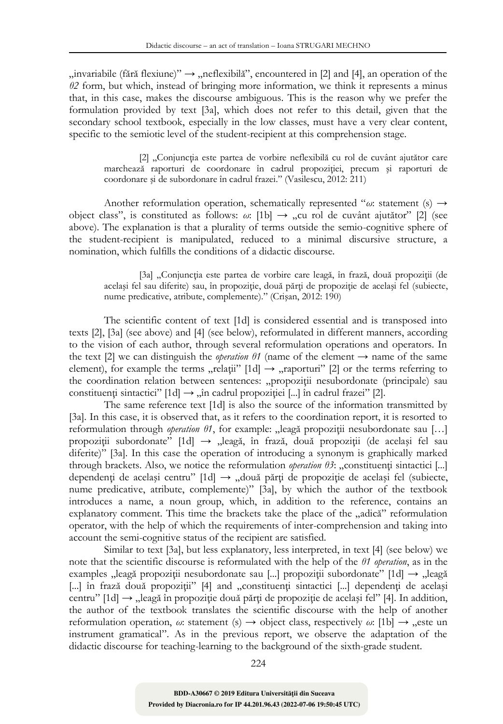$\mu$  invariabile (fără flexiune)"  $\rightarrow$   $\mu$ eflexibilă", encountered in [2] and [4], an operation of the *θ2* form, but which, instead of bringing more information, we think it represents a minus that, in this case, makes the discourse ambiguous. This is the reason why we prefer the formulation provided by text [3a], which does not refer to this detail, given that the secondary school textbook, especially in the low classes, must have a very clear content, specific to the semiotic level of the student-recipient at this comprehension stage.

[2] "Conjuncția este partea de vorbire neflexibilă cu rol de cuvânt ajutător care marchează raporturi de coordonare în cadrul propoziţiei, precum şi raporturi de coordonare şi de subordonare în cadrul frazei." (Vasilescu, 2012: 211)

Another reformulation operation, schematically represented "*ω*: statement (s) → object class", is constituted as follows:  $\omega$ : [1b]  $\rightarrow$  "cu rol de cuvânt ajutător" [2] (see above). The explanation is that a plurality of terms outside the semio-cognitive sphere of the student-recipient is manipulated, reduced to a minimal discursive structure, a nomination, which fulfills the conditions of a didactic discourse.

[3a] "Conjuncția este partea de vorbire care leagă, în frază, două propoziții (de același fel sau diferite) sau, în propoziție, două părți de propoziție de același fel (subiecte, nume predicative, atribute, complemente)." (Crișan, 2012: 190)

The scientific content of text [1d] is considered essential and is transposed into texts [2], [3a] (see above) and [4] (see below), reformulated in different manners, according to the vision of each author, through several reformulation operations and operators. In the text [2] we can distinguish the *operation*  $\theta$ *1* (name of the element  $\rightarrow$  name of the same element), for example the terms "relatii"  $[1d] \rightarrow$  "raporturi"  $[2]$  or the terms referring to the coordination relation between sentences: "propoziții nesubordonate (principale) sau constituenți sintactici"  $[1d] \rightarrow$ , în cadrul propoziției [...] în cadrul frazei" [2].

The same reference text [1d] is also the source of the information transmitted by [3a]. In this case, it is observed that, as it refers to the coordination report, it is resorted to reformulation through *operation θ1*, for example: "leagă propoziții nesubordonate sau [...] propoziții subordonate"  $[1d] \rightarrow$  "leagă, în frază, două propoziții (de același fel sau diferite)" [3a]. In this case the operation of introducing a synonym is graphically marked through brackets. Also, we notice the reformulation *operation θ3*: "constituenti sintactici [...] dependenți de același centru" [1d] → "două părți de propoziție de același fel (subiecte, nume predicative, atribute, complemente)" [3a], by which the author of the textbook introduces a name, a noun group, which, in addition to the reference, contains an explanatory comment. This time the brackets take the place of the  $\mu$ adică" reformulation operator, with the help of which the requirements of inter-comprehension and taking into account the semi-cognitive status of the recipient are satisfied.

Similar to text [3a], but less explanatory, less interpreted, in text [4] (see below) we note that the scientific discourse is reformulated with the help of the *θ1 operation*, as in the examples "leagă propoziții nesubordonate sau [...] propoziții subordonate" [1d]  $\rightarrow$  "leagă [...] în frază două propoziții<sup>3</sup> [4] and "constituenți sintactici [...] dependenți de același centru" [1d] → "leagă în propoziție două părți de propoziție de același fel" [4]. In addition, the author of the textbook translates the scientific discourse with the help of another reformulation operation,  $\omega$ : statement (s)  $\rightarrow$  object class, respectively  $\omega$ : [1b]  $\rightarrow$  "este un instrument gramatical". As in the previous report, we observe the adaptation of the didactic discourse for teaching-learning to the background of the sixth-grade student.

224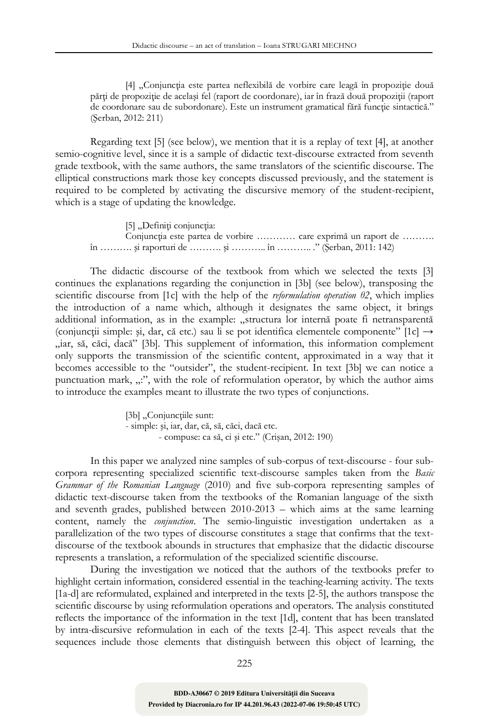[4] "Conjuncția este partea neflexibilă de vorbire care leagă în propoziție două părți de propoziție de același fel (raport de coordonare), iar în frază două propoziții (raport de coordonare sau de subordonare). Este un instrument gramatical fără funcție sintactică." (Şerban, 2012: 211)

Regarding text [5] (see below), we mention that it is a replay of text [4], at another semio-cognitive level, since it is a sample of didactic text-discourse extracted from seventh grade textbook, with the same authors, the same translators of the scientific discourse. The elliptical constructions mark those key concepts discussed previously, and the statement is required to be completed by activating the discursive memory of the student-recipient, which is a stage of updating the knowledge.

[5] "Definiți conjuncția: Conjuncția este partea de vorbire ………… care exprimă un raport de ………. în ………. şi raporturi de ………. şi ……….. în ……….. ." (Şerban, 2011: 142)

The didactic discourse of the textbook from which we selected the texts [3] continues the explanations regarding the conjunction in [3b] (see below), transposing the scientific discourse from [1c] with the help of the *reformulation operation θ2*, which implies the introduction of a name which, although it designates the same object, it brings additional information, as in the example: "structura lor internă poate fi netransparentă (conjuncții simple: și, dar, că etc.) sau li se pot identifica elementele componente" [1c]  $\rightarrow$ "iar, să, căci, dacă" [3b]. This supplement of information, this information complement only supports the transmission of the scientific content, approximated in a way that it becomes accessible to the "outsider", the student-recipient. In text [3b] we can notice a punctuation mark, "", with the role of reformulation operator, by which the author aims to introduce the examples meant to illustrate the two types of conjunctions.

> [3b] "Conjunctiile sunt: - simple: şi, iar, dar, că, să, căci, dacă etc. - compuse: ca să, ci şi etc." (Crişan, 2012: 190)

In this paper we analyzed nine samples of sub-corpus of text-discourse - four subcorpora representing specialized scientific text-discourse samples taken from the *Basic Grammar of the Romanian Language* (2010) and five sub-corpora representing samples of didactic text-discourse taken from the textbooks of the Romanian language of the sixth and seventh grades, published between 2010-2013 – which aims at the same learning content, namely the *conjunction*. The semio-linguistic investigation undertaken as a parallelization of the two types of discourse constitutes a stage that confirms that the textdiscourse of the textbook abounds in structures that emphasize that the didactic discourse represents a translation, a reformulation of the specialized scientific discourse.

During the investigation we noticed that the authors of the textbooks prefer to highlight certain information, considered essential in the teaching-learning activity. The texts [1a-d] are reformulated, explained and interpreted in the texts [2-5], the authors transpose the scientific discourse by using reformulation operations and operators. The analysis constituted reflects the importance of the information in the text [1d], content that has been translated by intra-discursive reformulation in each of the texts [2-4]. This aspect reveals that the sequences include those elements that distinguish between this object of learning, the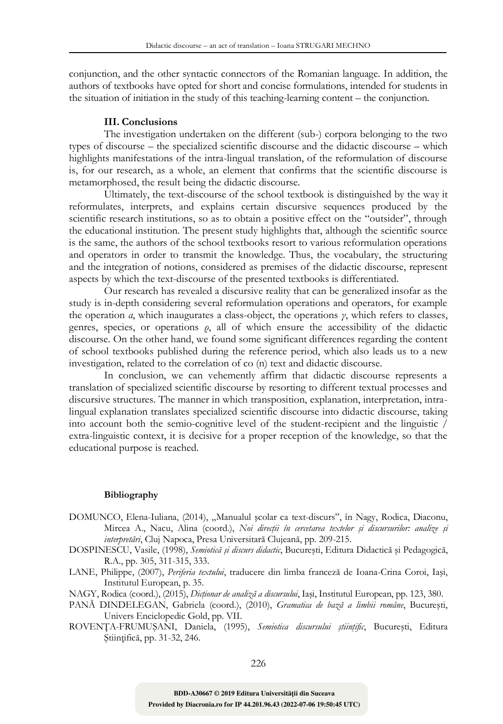conjunction, and the other syntactic connectors of the Romanian language. In addition, the authors of textbooks have opted for short and concise formulations, intended for students in the situation of initiation in the study of this teaching-learning content – the conjunction.

### **III. Conclusions**

The investigation undertaken on the different (sub-) corpora belonging to the two types of discourse – the specialized scientific discourse and the didactic discourse – which highlights manifestations of the intra-lingual translation, of the reformulation of discourse is, for our research, as a whole, an element that confirms that the scientific discourse is metamorphosed, the result being the didactic discourse.

Ultimately, the text-discourse of the school textbook is distinguished by the way it reformulates, interprets, and explains certain discursive sequences produced by the scientific research institutions, so as to obtain a positive effect on the "outsider", through the educational institution. The present study highlights that, although the scientific source is the same, the authors of the school textbooks resort to various reformulation operations and operators in order to transmit the knowledge. Thus, the vocabulary, the structuring and the integration of notions, considered as premises of the didactic discourse, represent aspects by which the text-discourse of the presented textbooks is differentiated.

Our research has revealed a discursive reality that can be generalized insofar as the study is in-depth considering several reformulation operations and operators, for example the operation *α*, which inaugurates a class-object, the operations *γ*, which refers to classes, genres, species, or operations *ρ*, all of which ensure the accessibility of the didactic discourse. On the other hand, we found some significant differences regarding the content of school textbooks published during the reference period, which also leads us to a new investigation, related to the correlation of co (n) text and didactic discourse.

In conclusion, we can vehemently affirm that didactic discourse represents a translation of specialized scientific discourse by resorting to different textual processes and discursive structures. The manner in which transposition, explanation, interpretation, intralingual explanation translates specialized scientific discourse into didactic discourse, taking into account both the semio-cognitive level of the student-recipient and the linguistic / extra-linguistic context, it is decisive for a proper reception of the knowledge, so that the educational purpose is reached.

### **Bibliography**

- DOMUNCO, Elena-Iuliana, (2014), "Manualul școlar ca text-discurs", în Nagy, Rodica, Diaconu, Mircea A., Nacu, Alina (coord.), *Noi direcţii în cercetarea textelor şi discursurilor: analize şi interpretări*, Cluj Napoca, Presa Universitară Clujeană, pp. 209-215.
- DOSPINESCU, Vasile, (1998), *Semiotică şi discurs didactic*, Bucureşti, Editura Didactică şi Pedagogică, R.A., pp. 305, 311-315, 333.
- LANE, Philippe, (2007), *Periferia textului*, traducere din limba franceză de Ioana-Crina Coroi, Iaşi, Institutul European, p. 35.
- NAGY, Rodica (coord.), (2015), *Dicţionar de analiză a discursului*, Iaşi, Institutul European, pp. 123, 380.
- PANĂ DINDELEGAN, Gabriela (coord.), (2010), *Gramatica de bază a limbii române*, Bucureşti, Univers Enciclopedic Gold, pp. VII.
- ROVENŢA-FRUMUŞANI, Daniela, (1995), *Semiotica discursului ştiinţific*, Bucureşti, Editura Ştiinţifică, pp. 31-32, 246.

**Provided by Diacronia.ro for IP 44.201.96.43 (2022-07-06 19:50:45 UTC) BDD-A30667 © 2019 Editura Universităţii din Suceava**